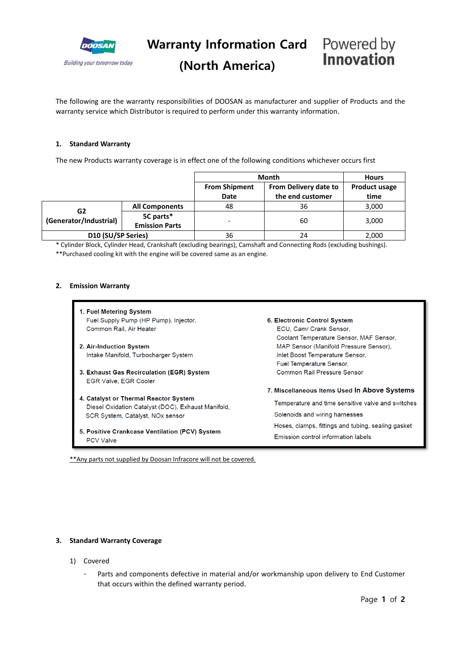

**Warranty Information Card** Powered by

### **(North America)**

## Innovation

The following are the warranty responsibilities of DOOSAN as manufacturer and supplier of Products and the warranty service which Distributor is required to perform under this warranty information.

#### **1. Standard Warranty**

The new Products warranty coverage is in effect one of the following conditions whichever occurs first

|                              |                                    | <b>Month</b>         |                       | <b>Hours</b>         |
|------------------------------|------------------------------------|----------------------|-----------------------|----------------------|
|                              |                                    | <b>From Shipment</b> | From Delivery date to | <b>Product usage</b> |
|                              |                                    | Date                 | the end customer      | time                 |
| G2<br>(Generator/Industrial) | <b>All Components</b>              | 48                   | 36                    | 3,000                |
|                              | 5C parts*<br><b>Emission Parts</b> |                      | 60                    | 3,000                |
| D10 (SU/SP Series)           |                                    | 36                   | 24                    | 2,000                |

\* Cylinder Block, Cylinder Head, Crankshaft (excluding bearings), Camshaft and Connecting Rods (excluding bushings). \*\*Purchased cooling kit with the engine will be covered same as an engine.

#### **2. Emission Warranty**

- 1. Fuel Metering System Fuel Supply Pump (HP Pump), Injector, Common Rail, Air Heater
- 2. Air-Induction System Intake Manifold, Turbocharger System
- 3. Exhaust Gas Recirculation (EGR) System EGR Valve, EGR Cooler
- 4. Catalyst or Thermal Reactor System Diesel Oxidation Catalyst (DOC), Exhaust Manifold, SCR System, Catalyst, NOx sensor
- 5. Positive Crankcase Ventilation (PCV) System **PCV Valve**

6. Electronic Control System

ECU, Cam/ Crank Sensor, Coolant Temperature Sensor, MAF Sensor, MAP Sensor (Manifold Pressure Sensor), Inlet Boost Temperature Sensor, Fuel Temperature Sensor, Common Rail Pressure Sensor

7. Miscellaneous Items Used In Above Systems

Temperature and time sensitive valve and switches Solenoids and wiring harnesses Hoses, clamps, fittings and tubing, sealing gasket Emission control information labels

\*\*Any parts not supplied by Doosan Infracore will not be covered.

#### **3. Standard Warranty Coverage**

- 1) Covered
	- Parts and components defective in material and/or workmanship upon delivery to End Customer that occurs within the defined warranty period.